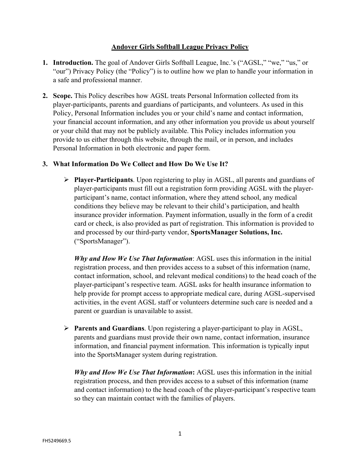### **Andover Girls Softball League Privacy Policy**

- **1. Introduction.** The goal of Andover Girls Softball League, Inc.'s ("AGSL," "we," "us," or "our") Privacy Policy (the "Policy") is to outline how we plan to handle your information in a safe and professional manner.
- **2. Scope.** This Policy describes how AGSL treats Personal Information collected from its player-participants, parents and guardians of participants, and volunteers. As used in this Policy, Personal Information includes you or your child's name and contact information, your financial account information, and any other information you provide us about yourself or your child that may not be publicly available. This Policy includes information you provide to us either through this website, through the mail, or in person, and includes Personal Information in both electronic and paper form.

### **3. What Information Do We Collect and How Do We Use It?**

Ø **Player-Participants**. Upon registering to play in AGSL, all parents and guardians of player-participants must fill out a registration form providing AGSL with the playerparticipant's name, contact information, where they attend school, any medical conditions they believe may be relevant to their child's participation, and health insurance provider information. Payment information, usually in the form of a credit card or check, is also provided as part of registration. This information is provided to and processed by our third-party vendor, **SportsManager Solutions, Inc.** ("SportsManager").

*Why and How We Use That Information*: AGSL uses this information in the initial registration process, and then provides access to a subset of this information (name, contact information, school, and relevant medical conditions) to the head coach of the player-participant's respective team. AGSL asks for health insurance information to help provide for prompt access to appropriate medical care, during AGSL-supervised activities, in the event AGSL staff or volunteers determine such care is needed and a parent or guardian is unavailable to assist.

Ø **Parents and Guardians**. Upon registering a player-participant to play in AGSL, parents and guardians must provide their own name, contact information, insurance information, and financial payment information. This information is typically input into the SportsManager system during registration.

*Why and How We Use That Information***:** AGSL uses this information in the initial registration process, and then provides access to a subset of this information (name and contact information) to the head coach of the player-participant's respective team so they can maintain contact with the families of players.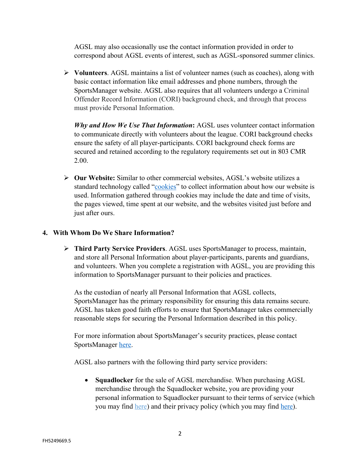AGSL may also occasionally use the contact information provided in order to correspond about AGSL events of interest, such as AGSL-sponsored summer clinics.

Ø **Volunteers**. AGSL maintains a list of volunteer names (such as coaches), along with basic contact information like email addresses and phone numbers, through the SportsManager website. AGSL also requires that all volunteers undergo a Criminal Offender Record Information (CORI) background check, and through that process must provide Personal Information.

*Why and How We Use That Information***:** AGSL uses volunteer contact information to communicate directly with volunteers about the league. CORI background checks ensure the safety of all player-participants. CORI background check forms are secured and retained according to the regulatory requirements set out in 803 CMR 2.00.

Ø **Our Website:** Similar to other commercial websites, AGSL's website utilizes a standard technology called "cookies" to collect information about how our website is used. Information gathered through cookies may include the date and time of visits, the pages viewed, time spent at our website, and the websites visited just before and just after ours.

## **4. With Whom Do We Share Information?**

Ø **Third Party Service Providers**. AGSL uses SportsManager to process, maintain, and store all Personal Information about player-participants, parents and guardians, and volunteers. When you complete a registration with AGSL, you are providing this information to SportsManager pursuant to their policies and practices.

As the custodian of nearly all Personal Information that AGSL collects, SportsManager has the primary responsibility for ensuring this data remains secure. AGSL has taken good faith efforts to ensure that SportsManager takes commercially reasonable steps for securing the Personal Information described in this policy.

For more information about SportsManager's security practices, please contact SportsManager here.

AGSL also partners with the following third party service providers:

• **Squadlocker** for the sale of AGSL merchandise. When purchasing AGSL merchandise through the Squadlocker website, you are providing your personal information to Squadlocker pursuant to their terms of service (which you may find here) and their privacy policy (which you may find here).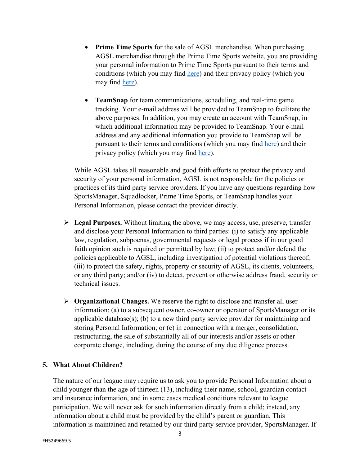- **Prime Time Sports** for the sale of AGSL merchandise. When purchasing AGSL merchandise through the Prime Time Sports website, you are providing your personal information to Prime Time Sports pursuant to their terms and conditions (which you may find here) and their privacy policy (which you may find here).
- **TeamSnap** for team communications, scheduling, and real-time game tracking. Your e-mail address will be provided to TeamSnap to facilitate the above purposes. In addition, you may create an account with TeamSnap, in which additional information may be provided to TeamSnap. Your e-mail address and any additional information you provide to TeamSnap will be pursuant to their terms and conditions (which you may find here) and their privacy policy (which you may find here).

While AGSL takes all reasonable and good faith efforts to protect the privacy and security of your personal information, AGSL is not responsible for the policies or practices of its third party service providers. If you have any questions regarding how SportsManager, Squadlocker, Prime Time Sports, or TeamSnap handles your Personal Information, please contact the provider directly.

- Ø **Legal Purposes.** Without limiting the above, we may access, use, preserve, transfer and disclose your Personal Information to third parties: (i) to satisfy any applicable law, regulation, subpoenas, governmental requests or legal process if in our good faith opinion such is required or permitted by law; (ii) to protect and/or defend the policies applicable to AGSL, including investigation of potential violations thereof; (iii) to protect the safety, rights, property or security of AGSL, its clients, volunteers, or any third party; and/or (iv) to detect, prevent or otherwise address fraud, security or technical issues.
- Ø **Organizational Changes.** We reserve the right to disclose and transfer all user information: (a) to a subsequent owner, co-owner or operator of SportsManager or its applicable database(s); (b) to a new third party service provider for maintaining and storing Personal Information; or (c) in connection with a merger, consolidation, restructuring, the sale of substantially all of our interests and/or assets or other corporate change, including, during the course of any due diligence process.

#### **5. What About Children?**

The nature of our league may require us to ask you to provide Personal Information about a child younger than the age of thirteen (13), including their name, school, guardian contact and insurance information, and in some cases medical conditions relevant to league participation. We will never ask for such information directly from a child; instead, any information about a child must be provided by the child's parent or guardian. This information is maintained and retained by our third party service provider, SportsManager. If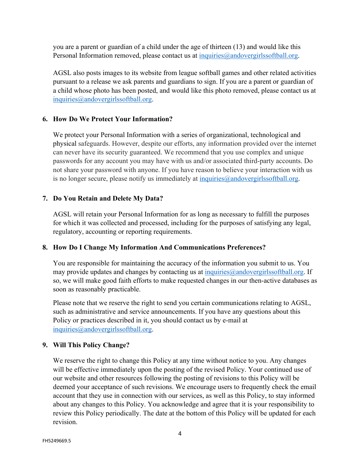you are a parent or guardian of a child under the age of thirteen (13) and would like this Personal Information removed, please contact us at inquiries@andovergirlssoftball.org.

AGSL also posts images to its website from league softball games and other related activities pursuant to a release we ask parents and guardians to sign. If you are a parent or guardian of a child whose photo has been posted, and would like this photo removed, please contact us at inquiries@andovergirlssoftball.org.

## **6. How Do We Protect Your Information?**

We protect your Personal Information with a series of organizational, technological and physical safeguards. However, despite our efforts, any information provided over the internet can never have its security guaranteed. We recommend that you use complex and unique passwords for any account you may have with us and/or associated third-party accounts. Do not share your password with anyone. If you have reason to believe your interaction with us is no longer secure, please notify us immediately at inquiries $@$  andovergirlssoftball.org.

## **7. Do You Retain and Delete My Data?**

AGSL will retain your Personal Information for as long as necessary to fulfill the purposes for which it was collected and processed, including for the purposes of satisfying any legal, regulatory, accounting or reporting requirements.

## **8. How Do I Change My Information And Communications Preferences?**

You are responsible for maintaining the accuracy of the information you submit to us. You may provide updates and changes by contacting us at inquiries  $@$  andovergirlssoftball.org. If so, we will make good faith efforts to make requested changes in our then-active databases as soon as reasonably practicable.

Please note that we reserve the right to send you certain communications relating to AGSL, such as administrative and service announcements. If you have any questions about this Policy or practices described in it, you should contact us by e-mail at inquiries@andovergirlssoftball.org.

#### **9. Will This Policy Change?**

We reserve the right to change this Policy at any time without notice to you. Any changes will be effective immediately upon the posting of the revised Policy. Your continued use of our website and other resources following the posting of revisions to this Policy will be deemed your acceptance of such revisions. We encourage users to frequently check the email account that they use in connection with our services, as well as this Policy, to stay informed about any changes to this Policy. You acknowledge and agree that it is your responsibility to review this Policy periodically. The date at the bottom of this Policy will be updated for each revision.